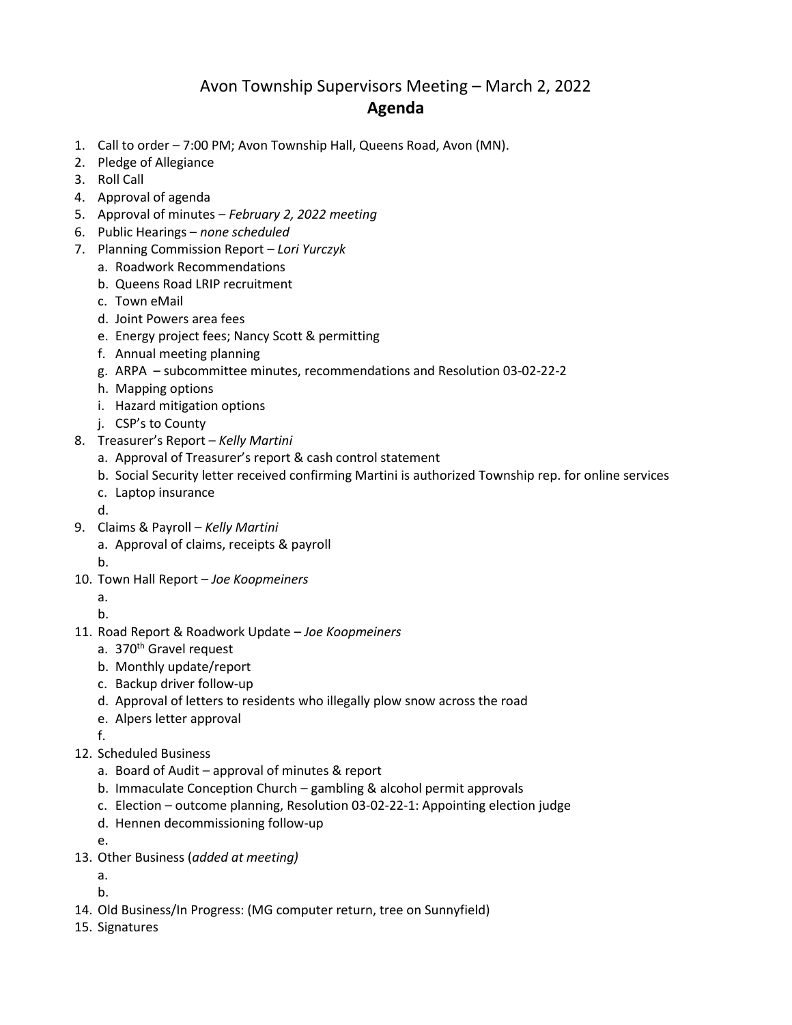## Avon Township Supervisors Meeting – March 2, 2022 **Agenda**

- 1. Call to order 7:00 PM; Avon Township Hall, Queens Road, Avon (MN).
- 2. Pledge of Allegiance
- 3. Roll Call
- 4. Approval of agenda
- 5. Approval of minutes *February 2, 2022 meeting*
- 6. Public Hearings *none scheduled*
- 7. Planning Commission Report *– Lori Yurczyk*
	- a. Roadwork Recommendations
	- b. Queens Road LRIP recruitment
	- c. Town eMail
	- d. Joint Powers area fees
	- e. Energy project fees; Nancy Scott & permitting
	- f. Annual meeting planning
	- g. ARPA subcommittee minutes, recommendations and Resolution 03-02-22-2
	- h. Mapping options
	- i. Hazard mitigation options
	- j. CSP's to County
- 8. Treasurer's Report *Kelly Martini*
	- a. Approval of Treasurer's report & cash control statement
	- b. Social Security letter received confirming Martini is authorized Township rep. for online services
	- c. Laptop insurance
	- d.
- 9. Claims & Payroll *Kelly Martini*
	- a. Approval of claims, receipts & payroll
	- b.
- 10. Town Hall Report *Joe Koopmeiners*
	- a.

b.

- 11. Road Report & Roadwork Update *Joe Koopmeiners*
	- a. 370<sup>th</sup> Gravel request
	- b. Monthly update/report
	- c. Backup driver follow-up
	- d. Approval of letters to residents who illegally plow snow across the road
	- e. Alpers letter approval
	- f.
- 12. Scheduled Business
	- a. Board of Audit approval of minutes & report
	- b. Immaculate Conception Church gambling & alcohol permit approvals
	- c. Election outcome planning, Resolution 03-02-22-1: Appointing election judge
	- d. Hennen decommissioning follow-up
	- e.
- 13. Other Business (*added at meeting)*
	- a.
	- b.
- 14. Old Business/In Progress: (MG computer return, tree on Sunnyfield)
- 15. Signatures